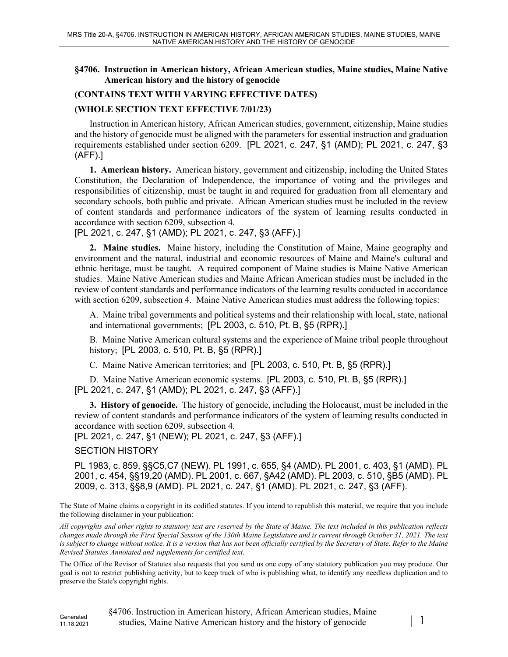## **§4706. Instruction in American history, African American studies, Maine studies, Maine Native American history and the history of genocide**

## **(CONTAINS TEXT WITH VARYING EFFECTIVE DATES)**

## **(WHOLE SECTION TEXT EFFECTIVE 7/01/23)**

Instruction in American history, African American studies, government, citizenship, Maine studies and the history of genocide must be aligned with the parameters for essential instruction and graduation requirements established under section 6209. [PL 2021, c. 247, §1 (AMD); PL 2021, c. 247, §3 (AFF).]

**1. American history.** American history, government and citizenship, including the United States Constitution, the Declaration of Independence, the importance of voting and the privileges and responsibilities of citizenship, must be taught in and required for graduation from all elementary and secondary schools, both public and private. African American studies must be included in the review of content standards and performance indicators of the system of learning results conducted in accordance with section 6209, subsection 4.

[PL 2021, c. 247, §1 (AMD); PL 2021, c. 247, §3 (AFF).]

**2. Maine studies.** Maine history, including the Constitution of Maine, Maine geography and environment and the natural, industrial and economic resources of Maine and Maine's cultural and ethnic heritage, must be taught. A required component of Maine studies is Maine Native American studies. Maine Native American studies and Maine African American studies must be included in the review of content standards and performance indicators of the learning results conducted in accordance with section 6209, subsection 4. Maine Native American studies must address the following topics:

A. Maine tribal governments and political systems and their relationship with local, state, national and international governments; [PL 2003, c. 510, Pt. B, §5 (RPR).]

B. Maine Native American cultural systems and the experience of Maine tribal people throughout history; [PL 2003, c. 510, Pt. B, §5 (RPR).]

C. Maine Native American territories; and [PL 2003, c. 510, Pt. B, §5 (RPR).]

D. Maine Native American economic systems. [PL 2003, c. 510, Pt. B, §5 (RPR).] [PL 2021, c. 247, §1 (AMD); PL 2021, c. 247, §3 (AFF).]

**3. History of genocide.** The history of genocide, including the Holocaust, must be included in the review of content standards and performance indicators of the system of learning results conducted in accordance with section 6209, subsection 4.

[PL 2021, c. 247, §1 (NEW); PL 2021, c. 247, §3 (AFF).]

SECTION HISTORY

PL 1983, c. 859, §§C5,C7 (NEW). PL 1991, c. 655, §4 (AMD). PL 2001, c. 403, §1 (AMD). PL 2001, c. 454, §§19,20 (AMD). PL 2001, c. 667, §A42 (AMD). PL 2003, c. 510, §B5 (AMD). PL 2009, c. 313, §§8,9 (AMD). PL 2021, c. 247, §1 (AMD). PL 2021, c. 247, §3 (AFF).

The State of Maine claims a copyright in its codified statutes. If you intend to republish this material, we require that you include the following disclaimer in your publication:

*All copyrights and other rights to statutory text are reserved by the State of Maine. The text included in this publication reflects changes made through the First Special Session of the 130th Maine Legislature and is current through October 31, 2021. The text*  is subject to change without notice. It is a version that has not been officially certified by the Secretary of State. Refer to the Maine *Revised Statutes Annotated and supplements for certified text.*

The Office of the Revisor of Statutes also requests that you send us one copy of any statutory publication you may produce. Our goal is not to restrict publishing activity, but to keep track of who is publishing what, to identify any needless duplication and to preserve the State's copyright rights.